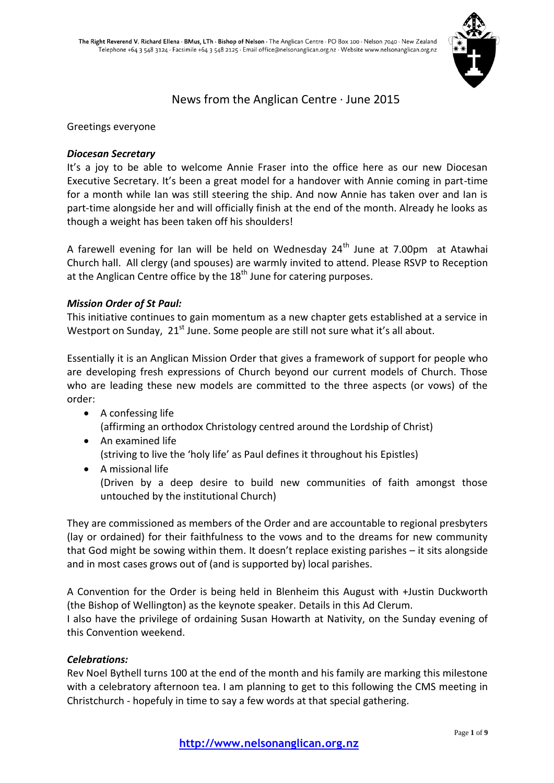

# News from the Anglican Centre · June 2015

Greetings everyone

## *Diocesan Secretary*

It's a joy to be able to welcome Annie Fraser into the office here as our new Diocesan Executive Secretary. It's been a great model for a handover with Annie coming in part-time for a month while Ian was still steering the ship. And now Annie has taken over and Ian is part-time alongside her and will officially finish at the end of the month. Already he looks as though a weight has been taken off his shoulders!

A farewell evening for Ian will be held on Wednesday  $24<sup>th</sup>$  June at 7.00pm at Atawhai Church hall. All clergy (and spouses) are warmly invited to attend. Please RSVP to Reception at the Anglican Centre office by the 18<sup>th</sup> June for catering purposes.

## *Mission Order of St Paul:*

This initiative continues to gain momentum as a new chapter gets established at a service in Westport on Sunday, 21<sup>st</sup> June. Some people are still not sure what it's all about.

Essentially it is an Anglican Mission Order that gives a framework of support for people who are developing fresh expressions of Church beyond our current models of Church. Those who are leading these new models are committed to the three aspects (or vows) of the order:

- A confessing life (affirming an orthodox Christology centred around the Lordship of Christ)
- An examined life (striving to live the 'holy life' as Paul defines it throughout his Epistles)
- A missional life (Driven by a deep desire to build new communities of faith amongst those untouched by the institutional Church)

They are commissioned as members of the Order and are accountable to regional presbyters (lay or ordained) for their faithfulness to the vows and to the dreams for new community that God might be sowing within them. It doesn't replace existing parishes – it sits alongside and in most cases grows out of (and is supported by) local parishes.

A Convention for the Order is being held in Blenheim this August with +Justin Duckworth (the Bishop of Wellington) as the keynote speaker. Details in this Ad Clerum.

I also have the privilege of ordaining Susan Howarth at Nativity, on the Sunday evening of this Convention weekend.

## *Celebrations:*

Rev Noel Bythell turns 100 at the end of the month and his family are marking this milestone with a celebratory afternoon tea. I am planning to get to this following the CMS meeting in Christchurch - hopefuly in time to say a few words at that special gathering.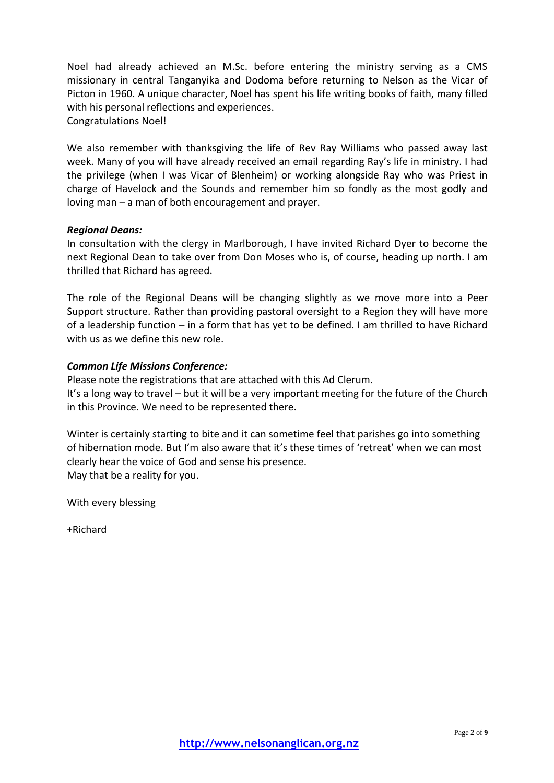Noel had already achieved an M.Sc. before entering the ministry serving as a CMS missionary in central Tanganyika and Dodoma before returning to Nelson as the Vicar of Picton in 1960. A unique character, Noel has spent his life writing books of faith, many filled with his personal reflections and experiences.

Congratulations Noel!

We also remember with thanksgiving the life of Rev Ray Williams who passed away last week. Many of you will have already received an email regarding Ray's life in ministry. I had the privilege (when I was Vicar of Blenheim) or working alongside Ray who was Priest in charge of Havelock and the Sounds and remember him so fondly as the most godly and loving man – a man of both encouragement and prayer.

### *Regional Deans:*

In consultation with the clergy in Marlborough, I have invited Richard Dyer to become the next Regional Dean to take over from Don Moses who is, of course, heading up north. I am thrilled that Richard has agreed.

The role of the Regional Deans will be changing slightly as we move more into a Peer Support structure. Rather than providing pastoral oversight to a Region they will have more of a leadership function – in a form that has yet to be defined. I am thrilled to have Richard with us as we define this new role.

## *Common Life Missions Conference:*

Please note the registrations that are attached with this Ad Clerum. It's a long way to travel – but it will be a very important meeting for the future of the Church in this Province. We need to be represented there.

Winter is certainly starting to bite and it can sometime feel that parishes go into something of hibernation mode. But I'm also aware that it's these times of 'retreat' when we can most clearly hear the voice of God and sense his presence. May that be a reality for you.

With every blessing

+Richard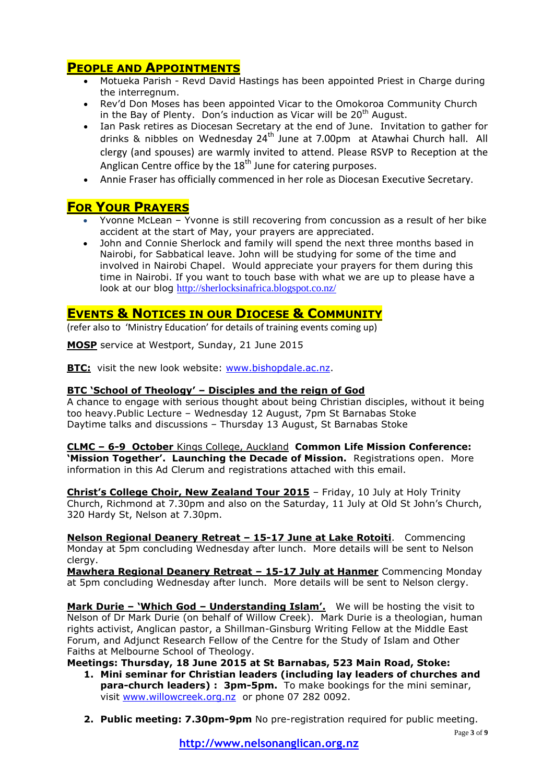# **PEOPLE AND APPOINTMENTS**

- Motueka Parish Revd David Hastings has been appointed Priest in Charge during the interregnum.
- Rev'd Don Moses has been appointed Vicar to the Omokoroa Community Church in the Bay of Plenty. Don's induction as Vicar will be  $20<sup>th</sup>$  August.
- Ian Pask retires as Diocesan Secretary at the end of June. Invitation to gather for drinks & nibbles on Wednesday  $24^{\text{th}}$  June at 7.00pm at Atawhai Church hall. All clergy (and spouses) are warmly invited to attend. Please RSVP to Reception at the Anglican Centre office by the  $18<sup>th</sup>$  June for catering purposes.
- Annie Fraser has officially commenced in her role as Diocesan Executive Secretary.

# **FOR YOUR PRAYERS**

- Yvonne McLean Yvonne is still recovering from concussion as a result of her bike accident at the start of May, your prayers are appreciated.
- John and Connie Sherlock and family will spend the next three months based in Nairobi, for Sabbatical leave. John will be studying for some of the time and involved in Nairobi Chapel. Would appreciate your prayers for them during this time in Nairobi. If you want to touch base with what we are up to please have a look at our blog <http://sherlocksinafrica.blogspot.co.nz/>

## **EVENTS & NOTICES IN OUR DIOCESE & COMMUNITY**

(refer also to 'Ministry Education' for details of training events coming up)

**MOSP** service at Westport, Sunday, 21 June 2015

**BTC:** visit the new look website: [www.bishopdale.ac.nz.](http://www.bishopdale.ac.nz/)

### **BTC 'School of Theology' – Disciples and the reign of God**

A chance to engage with serious thought about being Christian disciples, without it being too heavy.Public Lecture – Wednesday 12 August, 7pm St Barnabas Stoke Daytime talks and discussions – Thursday 13 August, St Barnabas Stoke

**CLMC – 6-9 October** Kings College, Auckland **Common Life Mission Conference: 'Mission Together'. Launching the Decade of Mission.** Registrations open. More information in this Ad Clerum and registrations attached with this email.

**Christ's College Choir, New Zealand Tour 2015** – Friday, 10 July at Holy Trinity Church, Richmond at 7.30pm and also on the Saturday, 11 July at Old St John's Church, 320 Hardy St, Nelson at 7.30pm.

**Nelson Regional Deanery Retreat – 15-17 June at Lake Rotoiti**. Commencing Monday at 5pm concluding Wednesday after lunch. More details will be sent to Nelson clergy.

**Mawhera Regional Deanery Retreat – 15-17 July at Hanmer** Commencing Monday at 5pm concluding Wednesday after lunch. More details will be sent to Nelson clergy.

**Mark Durie – 'Which God – Understanding Islam'.** We will be hosting the visit to Nelson of Dr Mark Durie (on behalf of Willow Creek). Mark Durie is a theologian, human rights activist, Anglican pastor, a Shillman-Ginsburg Writing Fellow at the Middle East Forum, and Adjunct Research Fellow of the Centre for the Study of Islam and Other Faiths at Melbourne School of Theology.

**Meetings: Thursday, 18 June 2015 at St Barnabas, 523 Main Road, Stoke:**

- **1. Mini seminar for Christian leaders (including lay leaders of churches and para-church leaders) : 3pm-5pm.** To make bookings for the mini seminar, visit [www.willowcreek.org.nz](http://www.willowcreek.org.nz/) or phone 07 282 0092.
- **2. Public meeting: 7.30pm-9pm** No pre-registration required for public meeting.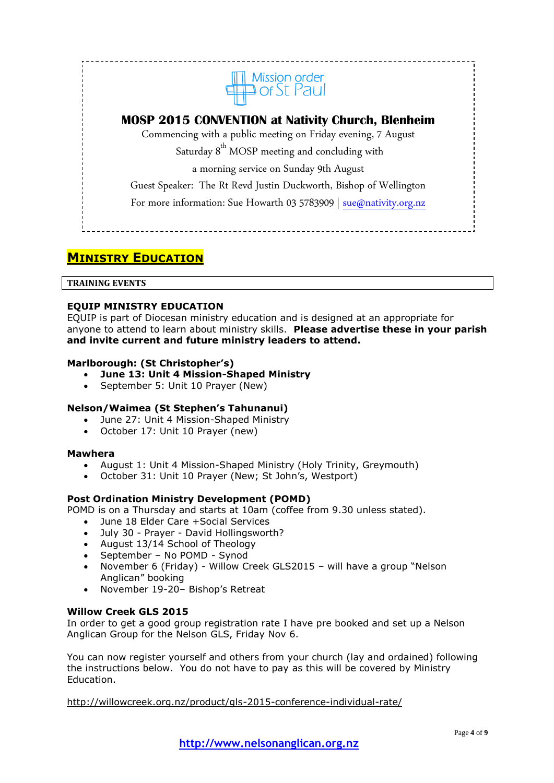

# **MOSP 2015 CONVENTION at Nativity Church, Blenheim**

Commencing with a public meeting on Friday evening, 7 August Saturday  $8<sup>th</sup>$  MOSP meeting and concluding with

a morning service on Sunday 9th August

Guest Speaker: The Rt Revd Justin Duckworth, Bishop of Wellington

For more information: Sue Howarth 03 5783909 | [sue@nativity.org.nz](mailto:sue@nativity.org.nz)

# **MINISTRY EDUCATION**

#### **TRAINING EVENTS**

### **EQUIP MINISTRY EDUCATION**

EQUIP is part of Diocesan ministry education and is designed at an appropriate for anyone to attend to learn about ministry skills. **Please advertise these in your parish and invite current and future ministry leaders to attend.**

#### **Marlborough: (St Christopher's)**

- **June 13: Unit 4 Mission-Shaped Ministry**
- September 5: Unit 10 Prayer (New)

#### **Nelson/Waimea (St Stephen's Tahunanui)**

- June 27: Unit 4 Mission-Shaped Ministry
- October 17: Unit 10 Prayer (new)

#### **Mawhera**

- August 1: Unit 4 Mission-Shaped Ministry (Holy Trinity, Greymouth)
- October 31: Unit 10 Prayer (New; St John's, Westport)

#### **Post Ordination Ministry Development (POMD)**

POMD is on a Thursday and starts at 10am (coffee from 9.30 unless stated).

- June 18 Elder Care +Social Services
- July 30 Prayer David Hollingsworth?
- August 13/14 School of Theology
- September No POMD Synod
- November 6 (Friday) Willow Creek GLS2015 will have a group "Nelson Anglican" booking
- November 19-20– Bishop's Retreat

### **Willow Creek GLS 2015**

In order to get a good group registration rate I have pre booked and set up a Nelson Anglican Group for the Nelson GLS, Friday Nov 6.

You can now register yourself and others from your church (lay and ordained) following the instructions below. You do not have to pay as this will be covered by Ministry Education.

<http://willowcreek.org.nz/product/gls-2015-conference-individual-rate/>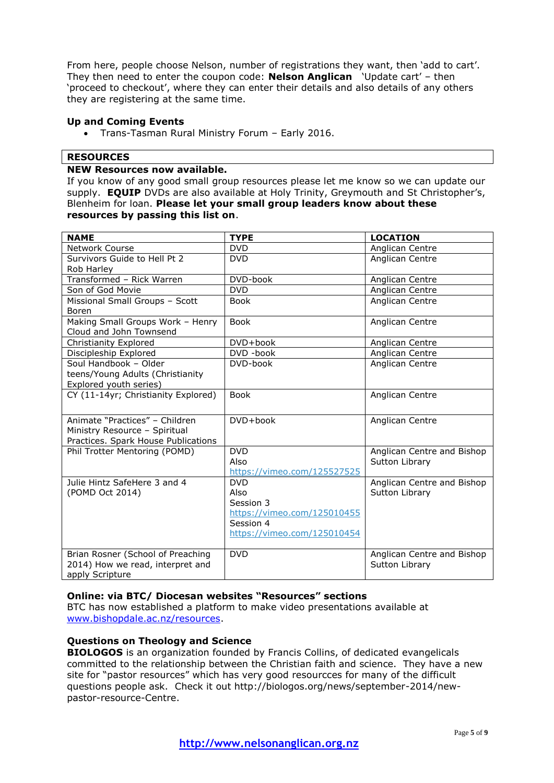From here, people choose Nelson, number of registrations they want, then 'add to cart'. They then need to enter the coupon code: **Nelson Anglican** 'Update cart' – then 'proceed to checkout', where they can enter their details and also details of any others they are registering at the same time.

### **Up and Coming Events**

Trans-Tasman Rural Ministry Forum – Early 2016.

### **RESOURCES**

### **NEW Resources now available.**

If you know of any good small group resources please let me know so we can update our supply. **EQUIP** DVDs are also available at Holy Trinity, Greymouth and St Christopher's, Blenheim for loan. **Please let your small group leaders know about these resources by passing this list on**.

| <b>NAME</b>                         | <b>TYPE</b>                 | <b>LOCATION</b>            |
|-------------------------------------|-----------------------------|----------------------------|
| <b>Network Course</b>               | <b>DVD</b>                  | Anglican Centre            |
| Survivors Guide to Hell Pt 2        | <b>DVD</b>                  | Anglican Centre            |
| Rob Harley                          |                             |                            |
| Transformed - Rick Warren           | DVD-book                    | Anglican Centre            |
| Son of God Movie                    | <b>DVD</b>                  | Anglican Centre            |
| Missional Small Groups - Scott      | <b>Book</b>                 | Anglican Centre            |
| Boren                               |                             |                            |
| Making Small Groups Work - Henry    | <b>Book</b>                 | Anglican Centre            |
| Cloud and John Townsend             |                             |                            |
| Christianity Explored               | DVD+book                    | Anglican Centre            |
| Discipleship Explored               | DVD -book                   | Anglican Centre            |
| Soul Handbook - Older               | DVD-book                    | Anglican Centre            |
| teens/Young Adults (Christianity    |                             |                            |
| Explored youth series)              |                             |                            |
| CY (11-14yr; Christianity Explored) | <b>Book</b>                 | Anglican Centre            |
|                                     |                             |                            |
| Animate "Practices" - Children      | DVD+book                    | Anglican Centre            |
| Ministry Resource - Spiritual       |                             |                            |
| Practices. Spark House Publications |                             |                            |
| Phil Trotter Mentoring (POMD)       | <b>DVD</b>                  | Anglican Centre and Bishop |
|                                     | Also                        | Sutton Library             |
|                                     | https://vimeo.com/125527525 |                            |
| Julie Hintz SafeHere 3 and 4        | <b>DVD</b>                  | Anglican Centre and Bishop |
| (POMD Oct 2014)                     | Also                        | Sutton Library             |
|                                     | Session 3                   |                            |
|                                     | https://vimeo.com/125010455 |                            |
|                                     | Session 4                   |                            |
|                                     | https://vimeo.com/125010454 |                            |
|                                     |                             |                            |
| Brian Rosner (School of Preaching   | <b>DVD</b>                  | Anglican Centre and Bishop |
| 2014) How we read, interpret and    |                             | Sutton Library             |
| apply Scripture                     |                             |                            |

#### **Online: via BTC/ Diocesan websites "Resources" sections**

BTC has now established a platform to make video presentations available at [www.bishopdale.ac.nz/resources.](http://www.bishopdale.ac.nz/resources)

#### **Questions on Theology and Science**

**BIOLOGOS** is an organization founded by Francis Collins, of dedicated evangelicals committed to the relationship between the Christian faith and science. They have a new site for "pastor resources" which has very good resourcces for many of the difficult questions people ask. Check it out http://biologos.org/news/september-2014/newpastor-resource-Centre.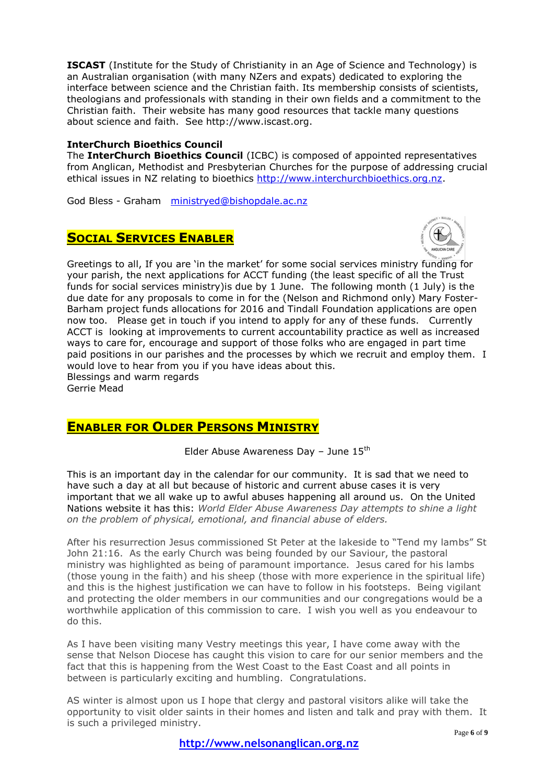**ISCAST** (Institute for the Study of Christianity in an Age of Science and Technology) is an Australian organisation (with many NZers and expats) dedicated to exploring the interface between science and the Christian faith. Its membership consists of scientists, theologians and professionals with standing in their own fields and a commitment to the Christian faith. Their website has many good resources that tackle many questions about science and faith. See http://www.iscast.org.

#### **InterChurch Bioethics Council**

The **InterChurch Bioethics Council** (ICBC) is composed of appointed representatives from Anglican, Methodist and Presbyterian Churches for the purpose of addressing crucial ethical issues in NZ relating to bioethics [http://www.interchurchbioethics.org.nz.](http://www.interchurchbioethics.org.nz/)

God Bless - Graham [ministryed@bishopdale.ac.nz](mailto:ministryed@bishopdale.ac.nz)

# **SOCIAL SERVICES ENABLER**



Greetings to all, If you are 'in the market' for some social services ministry funding for your parish, the next applications for ACCT funding (the least specific of all the Trust funds for social services ministry)is due by 1 June. The following month (1 July) is the due date for any proposals to come in for the (Nelson and Richmond only) Mary Foster-Barham project funds allocations for 2016 and Tindall Foundation applications are open now too. Please get in touch if you intend to apply for any of these funds. Currently ACCT is looking at improvements to current accountability practice as well as increased ways to care for, encourage and support of those folks who are engaged in part time paid positions in our parishes and the processes by which we recruit and employ them. I would love to hear from you if you have ideas about this. Blessings and warm regards Gerrie Mead

## **ENABLER FOR OLDER PERSONS MINISTRY**

Elder Abuse Awareness Day - June  $15<sup>th</sup>$ 

This is an important day in the calendar for our community. It is sad that we need to have such a day at all but because of historic and current abuse cases it is very important that we all wake up to awful abuses happening all around us. On the United Nations website it has this: *World Elder Abuse Awareness Day attempts to shine a light on the problem of physical, emotional, and financial abuse of elders.*

After his resurrection Jesus commissioned St Peter at the lakeside to "Tend my lambs" St John 21:16. As the early Church was being founded by our Saviour, the pastoral ministry was highlighted as being of paramount importance. Jesus cared for his lambs (those young in the faith) and his sheep (those with more experience in the spiritual life) and this is the highest justification we can have to follow in his footsteps. Being vigilant and protecting the older members in our communities and our congregations would be a worthwhile application of this commission to care. I wish you well as you endeavour to do this.

As I have been visiting many Vestry meetings this year, I have come away with the sense that Nelson Diocese has caught this vision to care for our senior members and the fact that this is happening from the West Coast to the East Coast and all points in between is particularly exciting and humbling. Congratulations.

AS winter is almost upon us I hope that clergy and pastoral visitors alike will take the opportunity to visit older saints in their homes and listen and talk and pray with them. It is such a privileged ministry.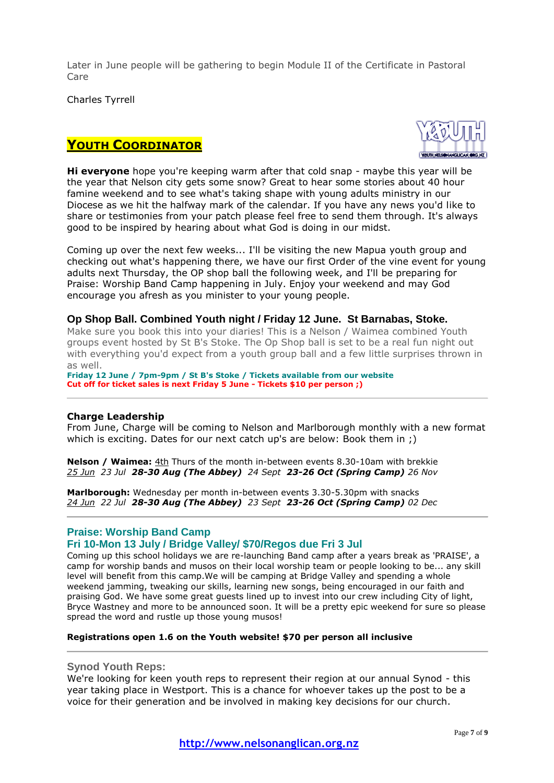Later in June people will be gathering to begin Module II of the Certificate in Pastoral Care

Charles Tyrrell

# **YOUTH COORDINATOR**



**Hi everyone** hope you're keeping warm after that cold snap - maybe this year will be the year that Nelson city gets some snow? Great to hear some stories about 40 hour famine weekend and to see what's taking shape with young adults ministry in our Diocese as we hit the halfway mark of the calendar. If you have any news you'd like to share or testimonies from your patch please feel free to send them through. It's always good to be inspired by hearing about what God is doing in our midst.

Coming up over the next few weeks... I'll be visiting the new Mapua youth group and checking out what's happening there, we have our first Order of the vine event for young adults next Thursday, the OP shop ball the following week, and I'll be preparing for Praise: Worship Band Camp happening in July. Enjoy your weekend and may God encourage you afresh as you minister to your young people.

#### **Op Shop Ball. Combined Youth night / Friday 12 June. St Barnabas, Stoke.**

Make sure you book this into your diaries! This is a Nelson / Waimea combined Youth groups event hosted by St B's Stoke. The Op Shop ball is set to be a real fun night out with everything you'd expect from a youth group ball and a few little surprises thrown in as well.

**Friday 12 June / 7pm-9pm / St B's Stoke / Tickets available from our website Cut off for ticket sales is next Friday 5 June - Tickets \$10 per person ;)**

#### **Charge Leadership**

From June, Charge will be coming to Nelson and Marlborough monthly with a new format which is exciting. Dates for our next catch up's are below: Book them in :)

**Nelson / Waimea:** 4th Thurs of the month in-between events 8.30-10am with brekkie *25 Jun 23 Jul 28-30 Aug (The Abbey) 24 Sept 23-26 Oct (Spring Camp) 26 Nov*

**Marlborough:** Wednesday per month in-between events 3.30-5.30pm with snacks *24 Jun 22 Jul 28-30 Aug (The Abbey) 23 Sept 23-26 Oct (Spring Camp) 02 Dec*

#### **Praise: Worship Band Camp**

### **Fri 10-Mon 13 July / Bridge Valley/ \$70/Regos due Fri 3 Jul**

Coming up this school holidays we are re-launching Band camp after a years break as 'PRAISE', a camp for worship bands and musos on their local worship team or people looking to be... any skill level will benefit from this camp.We will be camping at Bridge Valley and spending a whole weekend jamming, tweaking our skills, learning new songs, being encouraged in our faith and praising God. We have some great guests lined up to invest into our crew including City of light, Bryce Wastney and more to be announced soon. It will be a pretty epic weekend for sure so please spread the word and rustle up those young musos!

#### **Registrations open 1.6 on the Youth website! \$70 per person all inclusive**

#### **Synod Youth Reps:**

We're looking for keen youth reps to represent their region at our annual Synod - this year taking place in Westport. This is a chance for whoever takes up the post to be a voice for their generation and be involved in making key decisions for our church.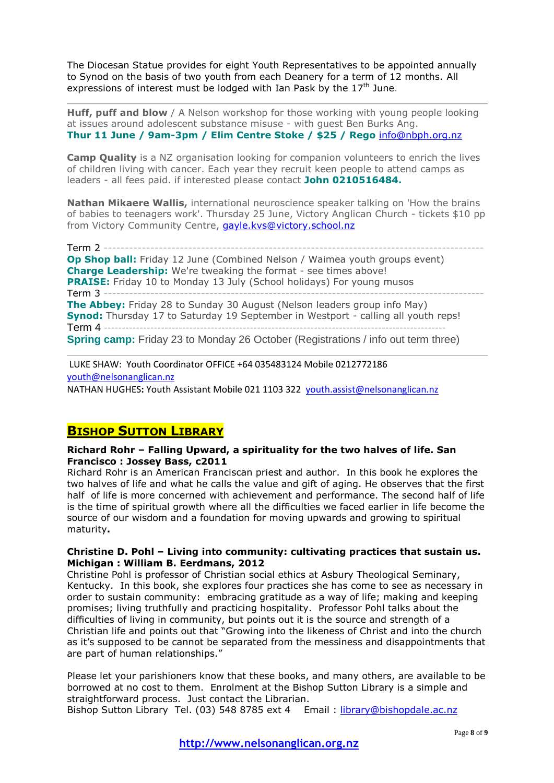The Diocesan Statue provides for eight Youth Representatives to be appointed annually to Synod on the basis of two youth from each Deanery for a term of 12 months. All expressions of interest must be lodged with Ian Pask by the  $17<sup>th</sup>$  June.

**Huff, puff and blow** / A Nelson workshop for those working with young people looking at issues around adolescent substance misuse - with guest Ben Burks Ang. **Thur 11 June / 9am-3pm / Elim Centre Stoke / \$25 / Rego** [info@nbph.org.nz](mailto:info@nbph.org.nz)

**Camp Quality** is a NZ organisation looking for companion volunteers to enrich the lives of children living with cancer. Each year they recruit keen people to attend camps as leaders - all fees paid. if interested please contact **John 0210516484.**

**Nathan Mikaere Wallis,** international neuroscience speaker talking on 'How the brains of babies to teenagers work'. Thursday 25 June, Victory Anglican Church - tickets \$10 pp from Victory Community Centre, [gayle.kvs@victory.school.nz](mailto:gayle.kvs@victory.school.nz)

Term 2 ---**Op Shop ball:** Friday 12 June (Combined Nelson / Waimea youth groups event) **Charge Leadership:** We're tweaking the format - see times above! **PRAISE:** Friday 10 to Monday 13 July (School holidays) For young musos Term 3 ------------------------------------------------------------------------------------------ **The Abbey:** Friday 28 to Sunday 30 August (Nelson leaders group info May) **Synod:** Thursday 17 to Saturday 19 September in Westport - calling all youth reps! Term 4 ------**Spring camp:** Friday 23 to Monday 26 October (Registrations / info out term three)

LUKE SHAW: Youth Coordinator OFFICE +64 035483124 Mobile 0212772186 [youth@nelsonanglican.nz](mailto:youth@nelsonanglican.nz)

NATHAN HUGHES**:** Youth Assistant Mobile 021 1103 322 [youth.assist@nelsonanglican.nz](mailto:youth.assist@nelsonanglican.nz)

# **BISHOP SUTTON LIBRARY**

#### **Richard Rohr – Falling Upward, a spirituality for the two halves of life. San Francisco : Jossey Bass, c2011**

Richard Rohr is an American Franciscan priest and author. In this book he explores the two halves of life and what he calls the value and gift of aging. He observes that the first half of life is more concerned with achievement and performance. The second half of life is the time of spiritual growth where all the difficulties we faced earlier in life become the source of our wisdom and a foundation for moving upwards and growing to spiritual maturity**.** 

#### **Christine D. Pohl – Living into community: cultivating practices that sustain us. Michigan : William B. Eerdmans, 2012**

Christine Pohl is professor of Christian social ethics at Asbury Theological Seminary, Kentucky. In this book, she explores four practices she has come to see as necessary in order to sustain community: embracing gratitude as a way of life; making and keeping promises; living truthfully and practicing hospitality. Professor Pohl talks about the difficulties of living in community, but points out it is the source and strength of a Christian life and points out that "Growing into the likeness of Christ and into the church as it's supposed to be cannot be separated from the messiness and disappointments that are part of human relationships."

Please let your parishioners know that these books, and many others, are available to be borrowed at no cost to them. Enrolment at the Bishop Sutton Library is a simple and straightforward process. Just contact the Librarian. Bishop Sutton Library Tel. (03) 548 8785 ext 4 Email : [library@bishopdale.ac.nz](mailto:library@bishopdale.ac.nz)